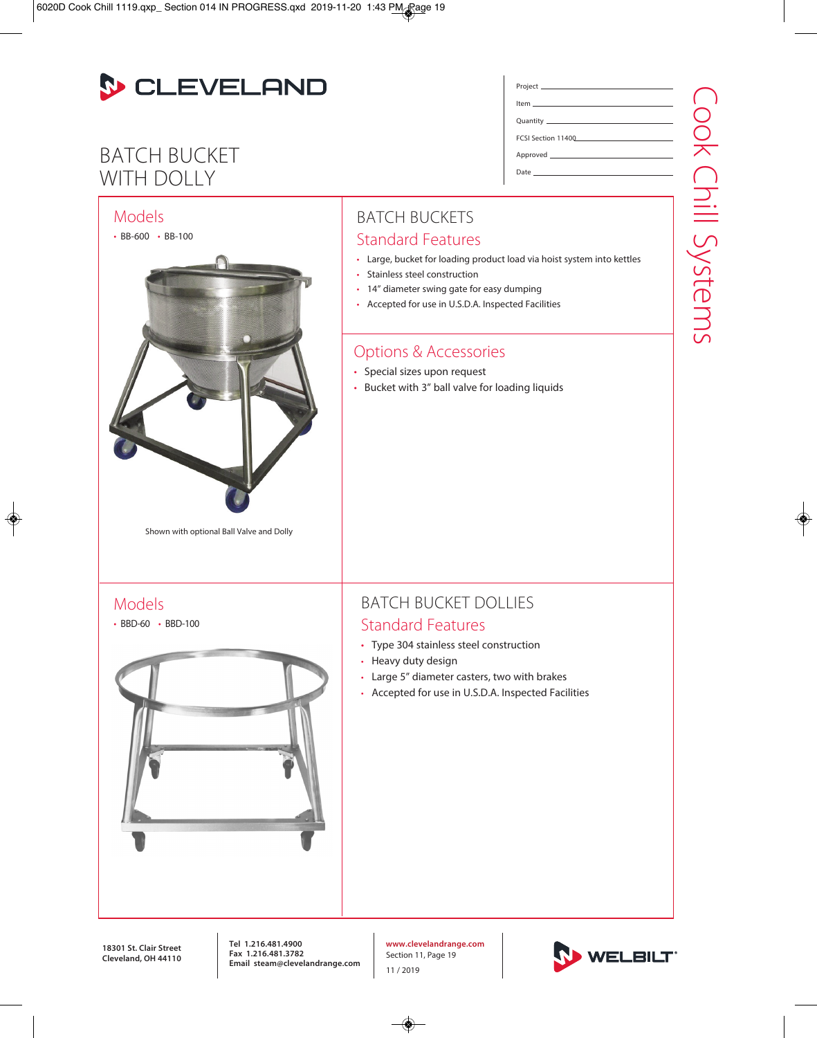

## BATCH BUCKET WITH DOLLY



Project Item Quantity

Approved \_\_\_\_\_\_\_

Date

FCSI Section 11400

**www.clevelandrange.com** Section 11, Page 19 11 / 2019